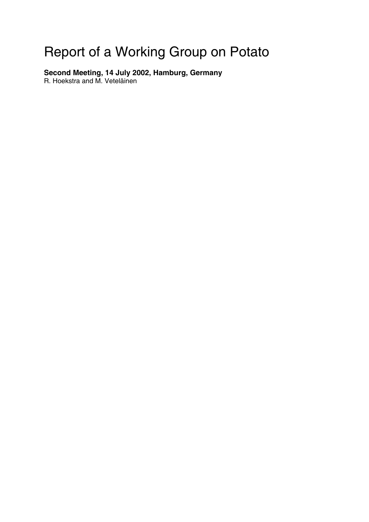# Report of a Working Group on Potato

**Second Meeting, 14 July 2002, Hamburg, Germany** 

R. Hoekstra and M. Veteläinen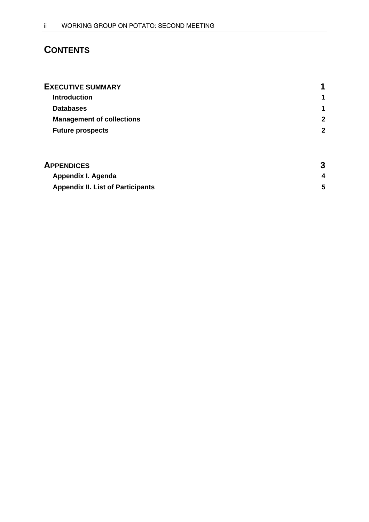# **CONTENTS**

| <b>EXECUTIVE SUMMARY</b>         | 1                    |
|----------------------------------|----------------------|
| <b>Introduction</b>              | 1                    |
| <b>Databases</b>                 | $\blacktriangleleft$ |
| <b>Management of collections</b> | $\mathbf{2}$         |
| <b>Future prospects</b>          | $\mathbf{2}$         |
|                                  |                      |
|                                  |                      |

| <b>APPENDICES</b>                        |  |
|------------------------------------------|--|
| Appendix I. Agenda                       |  |
| <b>Appendix II. List of Participants</b> |  |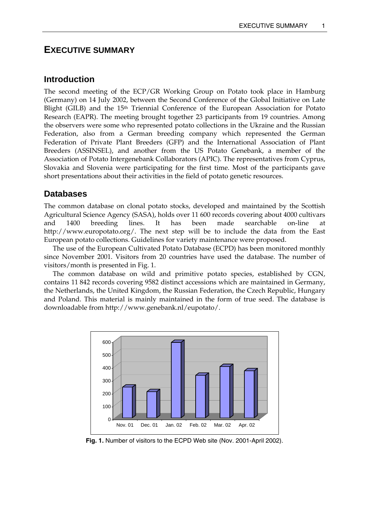# **EXECUTIVE SUMMARY**

### **Introduction**

The second meeting of the ECP/GR Working Group on Potato took place in Hamburg (Germany) on 14 July 2002, between the Second Conference of the Global Initiative on Late Blight (GILB) and the  $15<sup>th</sup>$  Triennial Conference of the European Association for Potato Research (EAPR). The meeting brought together 23 participants from 19 countries. Among the observers were some who represented potato collections in the Ukraine and the Russian Federation, also from a German breeding company which represented the German Federation of Private Plant Breeders (GFP) and the International Association of Plant Breeders (ASSINSEL), and another from the US Potato Genebank, a member of the Association of Potato Intergenebank Collaborators (APIC). The representatives from Cyprus, Slovakia and Slovenia were participating for the first time. Most of the participants gave short presentations about their activities in the field of potato genetic resources.

### **Databases**

The common database on clonal potato stocks, developed and maintained by the Scottish Agricultural Science Agency (SASA), holds over 11 600 records covering about 4000 cultivars and 1400 breeding lines. It has been made searchable on-line at http://www.europotato.org/. The next step will be to include the data from the East European potato collections. Guidelines for variety maintenance were proposed.

 The use of the European Cultivated Potato Database (ECPD) has been monitored monthly since November 2001. Visitors from 20 countries have used the database. The number of visitors/month is presented in Fig. 1.

 The common database on wild and primitive potato species, established by CGN, contains 11 842 records covering 9582 distinct accessions which are maintained in Germany, the Netherlands, the United Kingdom, the Russian Federation, the Czech Republic, Hungary and Poland. This material is mainly maintained in the form of true seed. The database is downloadable from http://www.genebank.nl/eupotato/.



**Fig. 1.** Number of visitors to the ECPD Web site (Nov. 2001-April 2002).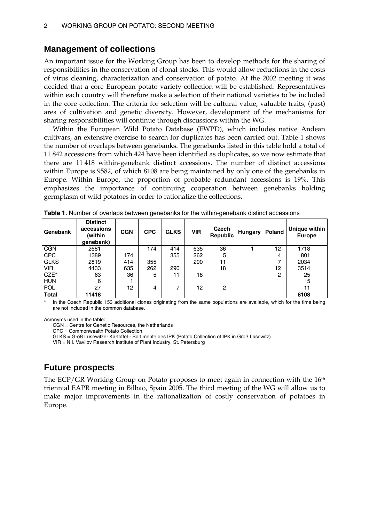### **Management of collections**

An important issue for the Working Group has been to develop methods for the sharing of responsibilities in the conservation of clonal stocks. This would allow reductions in the costs of virus cleaning, characterization and conservation of potato. At the 2002 meeting it was decided that a core European potato variety collection will be established. Representatives within each country will therefore make a selection of their national varieties to be included in the core collection. The criteria for selection will be cultural value, valuable traits, (past) area of cultivation and genetic diversity. However, development of the mechanisms for sharing responsibilities will continue through discussions within the WG.

 Within the European Wild Potato Database (EWPD), which includes native Andean cultivars, an extensive exercise to search for duplicates has been carried out. Table 1 shows the number of overlaps between genebanks. The genebanks listed in this table hold a total of 11 842 accessions from which 424 have been identified as duplicates, so we now estimate that there are 11 418 within-genebank distinct accessions. The number of distinct accessions within Europe is 9582, of which 8108 are being maintained by only one of the genebanks in Europe. Within Europe, the proportion of probable redundant accessions is 19%. This emphasizes the importance of continuing cooperation between genebanks holding germplasm of wild potatoes in order to rationalize the collections.

| Genebank     | <b>Distinct</b><br>accessions<br>(within<br>genebank) | <b>CGN</b> | <b>CPC</b> | <b>GLKS</b> | <b>VIR</b> | Czech<br>Republic | Hungary | Poland | Unique within<br><b>Europe</b> |
|--------------|-------------------------------------------------------|------------|------------|-------------|------------|-------------------|---------|--------|--------------------------------|
| <b>CGN</b>   | 2681                                                  |            | 174        | 414         | 635        | 36                |         | 12     | 1718                           |
| <b>CPC</b>   | 1389                                                  | 174        |            | 355         | 262        | 5                 |         | 4      | 801                            |
| <b>GLKS</b>  | 2819                                                  | 414        | 355        |             | 290        | 11                |         | ⇁      | 2034                           |
| <b>VIR</b>   | 4433                                                  | 635        | 262        | 290         |            | 18                |         | 12     | 3514                           |
| $CZE^*$      | 63                                                    | 36         | 5          | 11          | 18         |                   |         | 2      | 25                             |
| <b>HUN</b>   | 6                                                     |            |            |             |            |                   |         |        | 5                              |
| <b>POL</b>   | 27                                                    | 12         | 4          | ⇁           | 12         | $\overline{2}$    |         |        | 11                             |
| <b>Total</b> | 11418                                                 |            |            |             |            |                   |         |        | 8108                           |

**Table 1.** Number of overlaps between genebanks for the within-genebank distinct accessions

In the Czech Republic 153 additional clones originating from the same populations are available, which for the time being are not included in the common database.

Acronyms used in the table:

CGN = Centre for Genetic Resources, the Netherlands

CPC = Commonwealth Potato Collection

GLKS = Groß Lüsewitzer Kartoffel - Sortimente des IPK (Potato Collection of IPK in Groß Lüsewitz)

VIR = N.I. Vavilov Research Institute of Plant Industry, St. Petersburg

### **Future prospects**

The ECP/GR Working Group on Potato proposes to meet again in connection with the  $16<sup>th</sup>$ triennial EAPR meeting in Bilbao, Spain 2005. The third meeting of the WG will allow us to make major improvements in the rationalization of costly conservation of potatoes in Europe.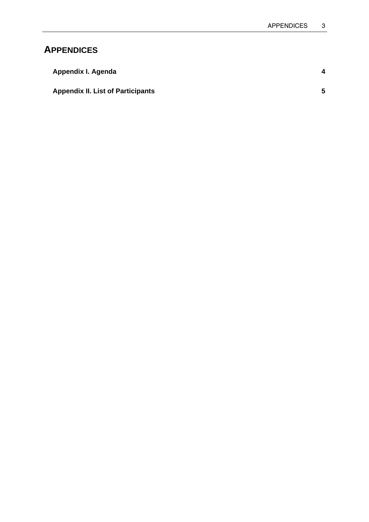# **APPENDICES**

| Appendix I. Agenda                       |    |
|------------------------------------------|----|
| <b>Appendix II. List of Participants</b> | 5. |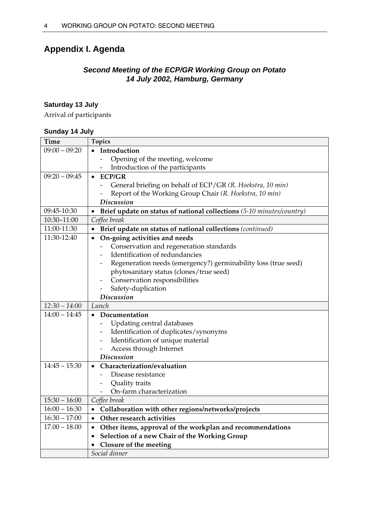# **Appendix I. Agenda**

## *Second Meeting of the ECP/GR Working Group on Potato 14 July 2002, Hamburg, Germany*

### **Saturday 13 July**

Arrival of participants

#### **Sunday 14 July**

| <b>Time</b>     | <b>Topics</b>                                                                      |
|-----------------|------------------------------------------------------------------------------------|
| $09:00 - 09:20$ | Introduction                                                                       |
|                 | Opening of the meeting, welcome                                                    |
|                 | Introduction of the participants                                                   |
| $09:20 - 09:45$ | <b>ECP/GR</b><br>$\bullet$                                                         |
|                 | General briefing on behalf of ECP/GR (R. Hoekstra, 10 min)                         |
|                 | Report of the Working Group Chair (R. Hoekstra, 10 min)                            |
|                 | <b>Discussion</b>                                                                  |
| 09:45-10:30     | Brief update on status of national collections (5-10 minutes/country)<br>$\bullet$ |
| 10:30-11:00     | Coffee break                                                                       |
| 11:00-11:30     | Brief update on status of national collections (continued)                         |
| 11:30-12:40     | On-going activities and needs<br>$\bullet$                                         |
|                 | Conservation and regeneration standards<br>$\overline{\phantom{0}}$                |
|                 | Identification of redundancies                                                     |
|                 | Regeneration needs (emergency?) germinability loss (true seed)                     |
|                 | phytosanitary status (clones/true seed)                                            |
|                 | Conservation responsibilities                                                      |
|                 | Safety-duplication                                                                 |
|                 | <b>Discussion</b>                                                                  |
| $12:30 - 14:00$ | Lunch                                                                              |
| $14:00 - 14:45$ | Documentation<br>$\bullet$                                                         |
|                 | Updating central databases                                                         |
|                 | Identification of duplicates/synonyms                                              |
|                 | Identification of unique material                                                  |
|                 | Access through Internet                                                            |
|                 | <b>Discussion</b>                                                                  |
| $14:45 - 15:30$ | Characterization/evaluation                                                        |
|                 | Disease resistance                                                                 |
|                 | Quality traits                                                                     |
|                 | On-farm characterization<br>$\overline{\phantom{0}}$                               |
| $15:30 - 16:00$ | Coffee break                                                                       |
| $16:00 - 16:30$ | Collaboration with other regions/networks/projects<br>$\bullet$                    |
| $16:30 - 17:00$ | Other research activities<br>$\bullet$                                             |
| $17.00 - 18.00$ | • Other items, approval of the workplan and recommendations                        |
|                 | Selection of a new Chair of the Working Group<br>$\bullet$                         |
|                 |                                                                                    |
|                 | Closure of the meeting                                                             |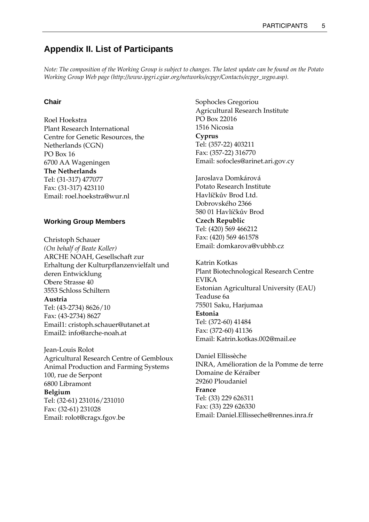# **Appendix II. List of Participants**

*Note: The composition of the Working Group is subject to changes. The latest update can be found on the Potato Working Group Web page (http://www.ipgri.cgiar.org/networks/ecpgr/Contacts/ecpgr\_wgpo.asp).* 

#### **Chair**

Roel Hoekstra Plant Research International Centre for Genetic Resources, the Netherlands (CGN) PO Box 16 6700 AA Wageningen **The Netherlands**  Tel: (31-317) 477077 Fax: (31-317) 423110 Email: roel.hoekstra@wur.nl

#### **Working Group Members**

Christoph Schauer *(On behalf of Beate Koller)*  ARCHE NOAH, Gesellschaft zur Erhaltung der Kulturpflanzenvielfalt und deren Entwicklung Obere Strasse 40 3553 Schloss Schiltern **Austria**  Tel: (43-2734) 8626/10 Fax: (43-2734) 8627 Email1: cristoph.schauer@utanet.at Email2: info@arche-noah.at

Jean-Louis Rolot Agricultural Research Centre of Gembloux Animal Production and Farming Systems 100, rue de Serpont 6800 Libramont **Belgium**  Tel: (32-61) 231016/231010 Fax: (32-61) 231028 Email: rolot@cragx.fgov.be

Sophocles Gregoriou Agricultural Research Institute PO Box 22016 1516 Nicosia **Cyprus**  Tel: (357-22) 403211 Fax: (357-22) 316770 Email: sofocles@arinet.ari.gov.cy

Jaroslava Domkárová Potato Research Institute Havlíčkův Brod Ltd. Dobrovského 2366 580 01 Havlíčkův Brod **Czech Republic**  Tel: (420) 569 466212 Fax: (420) 569 461578 Email: domkarova@vubhb.cz

Katrin Kotkas Plant Biotechnological Research Centre EVIKA Estonian Agricultural University (EAU) Teaduse 6a 75501 Saku, Harjumaa **Estonia**  Tel: (372-60) 41484 Fax: (372-60) 41136 Email: Katrin.kotkas.002@mail.ee

Daniel Ellissèche INRA, Amélioration de la Pomme de terre Domaine de Kéraiber 29260 Ploudaniel **France**  Tel: (33) 229 626311 Fax: (33) 229 626330 Email: Daniel.Ellisseche@rennes.inra.fr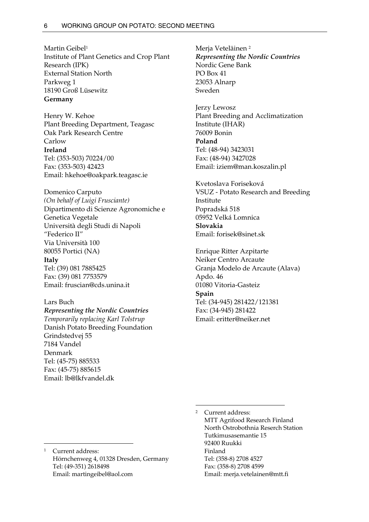Martin Geibel<sup>1</sup> Institute of Plant Genetics and Crop Plant Research (IPK) External Station North Parkweg 1 18190 Groß Lüsewitz **Germany** 

Henry W. Kehoe Plant Breeding Department, Teagasc Oak Park Research Centre Carlow **Ireland**  Tel: (353-503) 70224/00 Fax: (353-503) 42423 Email: hkehoe@oakpark.teagasc.ie

Domenico Carputo *(On behalf of Luigi Frusciante)*  Dipartimento di Scienze Agronomiche e Genetica Vegetale Università degli Studi di Napoli "Federico II" Via Università 100 80055 Portici (NA) **Italy**  Tel: (39) 081 7885425 Fax: (39) 081 7753579

Lars Buch *Representing the Nordic Countries Temporarily replacing Karl Tolstrup*  Danish Potato Breeding Foundation Grindstedvej 55 7184 Vandel Denmark Tel: (45-75) 885533 Fax: (45-75) 885615 Email: lb@lkfvandel.dk

Email: fruscian@cds.unina.it

Merja Veteläinen 2 *Representing the Nordic Countries*  Nordic Gene Bank PO Box 41 23053 Alnarp Sweden

Jerzy Lewosz Plant Breeding and Acclimatization Institute (IHAR) 76009 Bonin **Poland**  Tel: (48-94) 3423031 Fax: (48-94) 3427028 Email: iziem@man.koszalin.pl

Kvetoslava Foriseková VSUZ - Potato Research and Breeding Institute Popradská 518 05952 Velká Lomnica **Slovakia**  Email: forisek@sinet.sk

Enrique Ritter Azpitarte Neiker Centro Arcaute Granja Modelo de Arcaute (Alava) Apdo. 46 01080 Vitoria-Gasteiz **Spain**  Tel: (34-945) 281422/121381 Fax: (34-945) 281422 Email: eritter@neiker.net

 MTT Agrifood Research Finland North Ostrobothnia Reserch Station Tutkimusasemantie 15 92400 Ruukki Finland Tel: (358-8) 2708 4527 Fax: (358-8) 2708 4599 Email: merja.vetelainen@mtt.fi

2 Current address:

 $\overline{a}$ 

Current address: Hörnchenweg 4, 01328 Dresden, Germany Tel: (49-351) 2618498 Email: martingeibel@aol.com

 $\overline{a}$